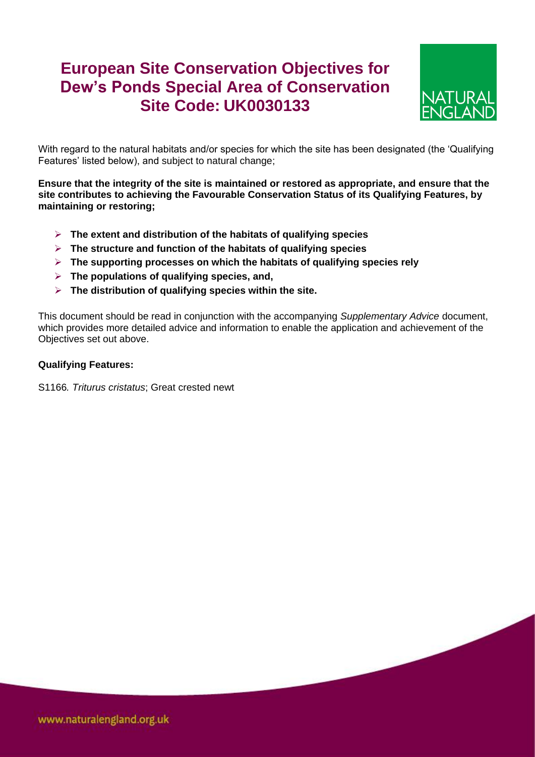## **European Site Conservation Objectives for Dew's Ponds Special Area of Conservation Site Code: UK0030133**



With regard to the natural habitats and/or species for which the site has been designated (the 'Qualifying Features' listed below), and subject to natural change;

**Ensure that the integrity of the site is maintained or restored as appropriate, and ensure that the site contributes to achieving the Favourable Conservation Status of its Qualifying Features, by maintaining or restoring;**

- **The extent and distribution of the habitats of qualifying species**
- **The structure and function of the habitats of qualifying species**
- **The supporting processes on which the habitats of qualifying species rely**
- **The populations of qualifying species, and,**
- **The distribution of qualifying species within the site.**

This document should be read in conjunction with the accompanying *Supplementary Advice* document, which provides more detailed advice and information to enable the application and achievement of the Objectives set out above.

## **Qualifying Features:**

S1166*. Triturus cristatus*; Great crested newt